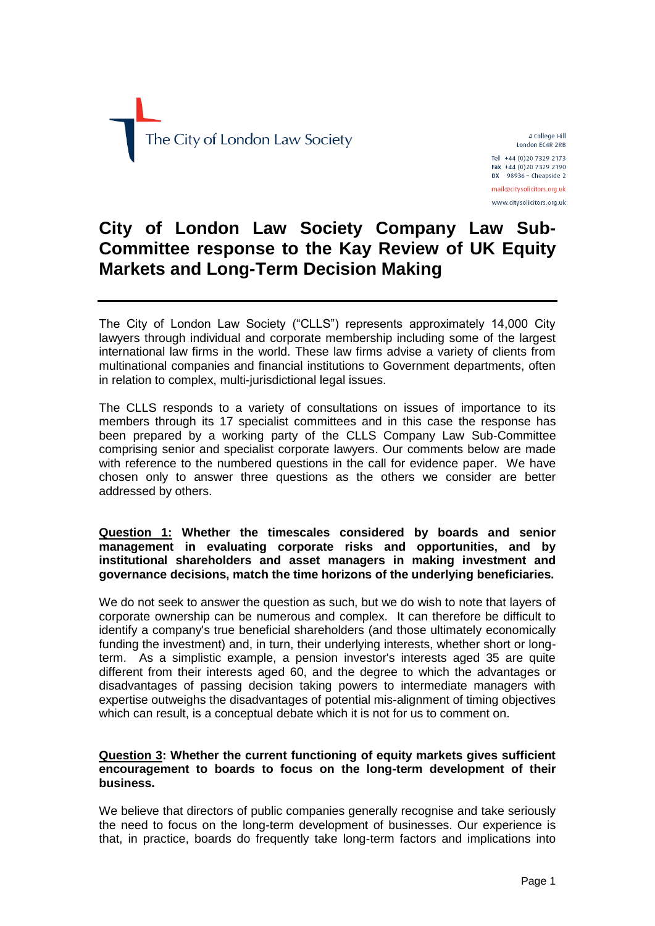

4 College Hill London EC4R 2RB Tel +44 (0)20 7329 2173 Fax +44 (0)20 7329 2190  $DX$  98936 - Cheapside 2 mail@citysolicitors.org.uk www.citysolicitors.org.uk

## **City of London Law Society Company Law Sub-Committee response to the Kay Review of UK Equity Markets and Long-Term Decision Making**

The City of London Law Society ("CLLS") represents approximately 14,000 City lawyers through individual and corporate membership including some of the largest international law firms in the world. These law firms advise a variety of clients from multinational companies and financial institutions to Government departments, often in relation to complex, multi-jurisdictional legal issues.

The CLLS responds to a variety of consultations on issues of importance to its members through its 17 specialist committees and in this case the response has been prepared by a working party of the CLLS Company Law Sub-Committee comprising senior and specialist corporate lawyers. Our comments below are made with reference to the numbered questions in the call for evidence paper. We have chosen only to answer three questions as the others we consider are better addressed by others.

## **Question 1: Whether the timescales considered by boards and senior management in evaluating corporate risks and opportunities, and by institutional shareholders and asset managers in making investment and governance decisions, match the time horizons of the underlying beneficiaries.**

We do not seek to answer the question as such, but we do wish to note that layers of corporate ownership can be numerous and complex. It can therefore be difficult to identify a company's true beneficial shareholders (and those ultimately economically funding the investment) and, in turn, their underlying interests, whether short or longterm. As a simplistic example, a pension investor's interests aged 35 are quite different from their interests aged 60, and the degree to which the advantages or disadvantages of passing decision taking powers to intermediate managers with expertise outweighs the disadvantages of potential mis-alignment of timing objectives which can result, is a conceptual debate which it is not for us to comment on.

## **Question 3: Whether the current functioning of equity markets gives sufficient encouragement to boards to focus on the long-term development of their business.**

We believe that directors of public companies generally recognise and take seriously the need to focus on the long-term development of businesses. Our experience is that, in practice, boards do frequently take long-term factors and implications into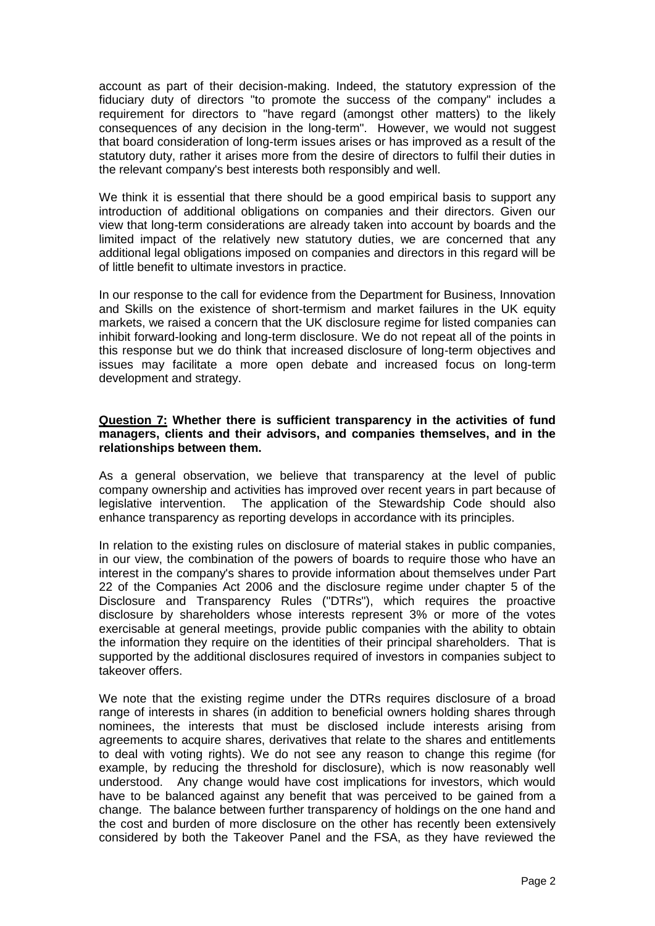account as part of their decision-making. Indeed, the statutory expression of the fiduciary duty of directors "to promote the success of the company" includes a requirement for directors to "have regard (amongst other matters) to the likely consequences of any decision in the long-term". However, we would not suggest that board consideration of long-term issues arises or has improved as a result of the statutory duty, rather it arises more from the desire of directors to fulfil their duties in the relevant company's best interests both responsibly and well.

We think it is essential that there should be a good empirical basis to support any introduction of additional obligations on companies and their directors. Given our view that long-term considerations are already taken into account by boards and the limited impact of the relatively new statutory duties, we are concerned that any additional legal obligations imposed on companies and directors in this regard will be of little benefit to ultimate investors in practice.

In our response to the call for evidence from the Department for Business, Innovation and Skills on the existence of short-termism and market failures in the UK equity markets, we raised a concern that the UK disclosure regime for listed companies can inhibit forward-looking and long-term disclosure. We do not repeat all of the points in this response but we do think that increased disclosure of long-term objectives and issues may facilitate a more open debate and increased focus on long-term development and strategy.

## **Question 7: Whether there is sufficient transparency in the activities of fund managers, clients and their advisors, and companies themselves, and in the relationships between them.**

As a general observation, we believe that transparency at the level of public company ownership and activities has improved over recent years in part because of legislative intervention. The application of the Stewardship Code should also enhance transparency as reporting develops in accordance with its principles.

In relation to the existing rules on disclosure of material stakes in public companies, in our view, the combination of the powers of boards to require those who have an interest in the company's shares to provide information about themselves under Part 22 of the Companies Act 2006 and the disclosure regime under chapter 5 of the Disclosure and Transparency Rules ("DTRs"), which requires the proactive disclosure by shareholders whose interests represent 3% or more of the votes exercisable at general meetings, provide public companies with the ability to obtain the information they require on the identities of their principal shareholders. That is supported by the additional disclosures required of investors in companies subject to takeover offers.

We note that the existing regime under the DTRs requires disclosure of a broad range of interests in shares (in addition to beneficial owners holding shares through nominees, the interests that must be disclosed include interests arising from agreements to acquire shares, derivatives that relate to the shares and entitlements to deal with voting rights). We do not see any reason to change this regime (for example, by reducing the threshold for disclosure), which is now reasonably well understood. Any change would have cost implications for investors, which would have to be balanced against any benefit that was perceived to be gained from a change. The balance between further transparency of holdings on the one hand and the cost and burden of more disclosure on the other has recently been extensively considered by both the Takeover Panel and the FSA, as they have reviewed the